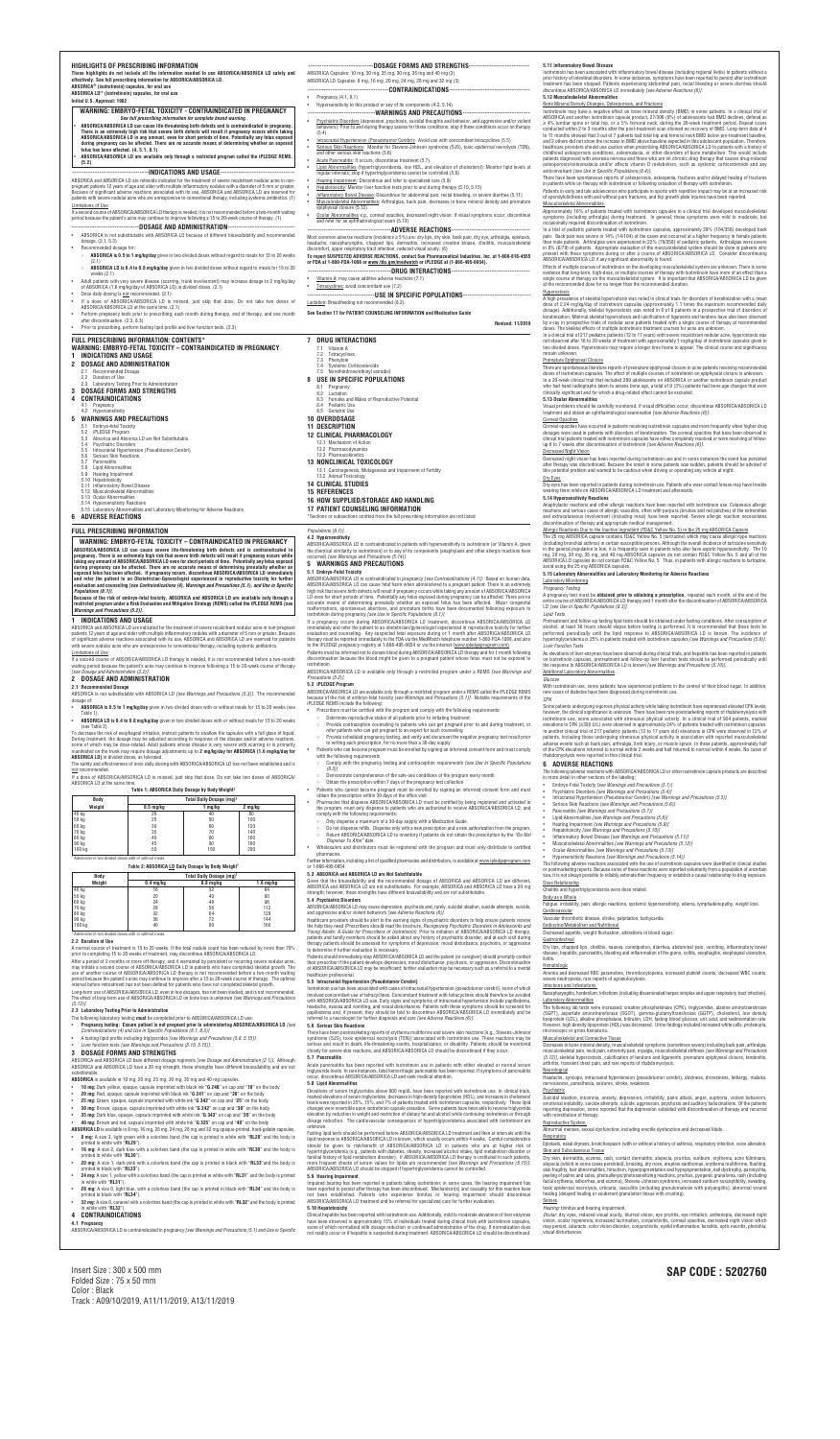taking any amount of ABSORICA/ABSORICA LD even for short periods of time. Potentially any fetus exposed<br>during pregnancy can be affected. There are no accurate means of determining prenatally whether an **exposed fetus has been affected***.* **If pregnancy occurs, discontinue ABSORICA/ABSORICA LD immediately and refer the patient to an Obstetrician-Gynecologist experienced in reproductive toxicity for further**

# *Populations (8.1)]***.** Because of the risk of embryo-fetal toxicity, ABSORICA and ABSORICA LD are available only through a<br>restricted program under a Risk Evaluation and Mitigation Strategy (REMS) called the iPLEDGE REMS *[see*

decrease the risk of esophageal irritation, instruct patients to swallow the capsules with a full glass of liquid During treatment, the dosage may be adjusted according to response of the disease and/or adverse reactions, some of which may be dose-related. Adult patients whose disease is very severe with scarring or is primarily<br>some of which may be dose-related. Adult patients whose disease is very severe with scarring or is primarily manifested on the trunk may require dosage adjustments up to **2 mg/kg/day for ABSORICA (1.6 mg/kg/day for ABSORICA LD)** in divided doses, as tolerated.

After a period of 2 months or more off therapy, and if warranted by persistent or recurring severe nodular acne, may initiate a second course of ABSORICA/ABSORICA LD in patients who have completed skeletal growth. The use of another course of ABSORICA/ABSORICA LD therapy is not recommended before a two-month waiting period because the patient's acne may continue to improve after a 15 to 20-week course of therapy. The optimal<br>interval before retreatment has not been defined for patients who have not completed skeletal growth.

Long-term use of ABSORICA/ABSORICA LD, even in low dosages, has not been studied, and is not recommended.<br>The effect of long-term use of ABSORICA/ABSORICA LD on bone loss is unknown *[see Warnings and Precautions (5.12)]*.

ABSORICA and ABSORICA LD have different dosage regimens *[see Dosage and Administration (2.1)].* Although<br>ABSORICA and ABSORICA LD have a 20 mg strength, these strengths have different bioavailability and are not substitutable.

# **evaluation and counseling** *[see Contraindications (4), Warnings and Precautions (5.1), and Use in Specific*

*Warnings and Precautions (5.2)].* **1 INDICATIONS AND USAGE** ABSORICA and ABSORICA LD are indicated for the treatment of severe recalcitrant nodular acne in non-pregnant patients 12 years of age and older with multiple inflammatory nodules with a diameter of 5 mm or greater. Because of significant adverse reactions associated with its use, ABSORICA and ABSORICA LD are reserved for patients

with severe nodular acne who are unresponsive to conventional therapy, including systemic antibiotics. Limitations of Use:

If a second course of ABSORICA/ABSORICA LD therapy is needed, it is not recommended before a two-month waiting period because the patient's acne may continue to improve following a 15 to 20-week course of therapy *[see Dosage and Administration (2.2)].*

# **2 DOSAGE AND ADMINISTRATION**

# **2.1 Recommended Dosage**

ABSORICA is not substitutable with ABSORICA LD *[see Warnings and Precautions (5.3)].* The recommended dosage of:

> Further information, including a list of qualified pharmacies and distributors, is available at www.ipledgeprogram.com or 1-866-495-0654.

- **ABSORICA is 0.5 to 1 mg/kg/day** given in two divided doses with or without meals for 15 to 20 weeks (see Table 1).
- **ABSORICA LD is 0.4 to 0.8 mg/kg/day** given in two divided doses with or without meals for 15 to 20 weeks (see Table 2).

The safety and effectiveness of once daily dosing with ABSORICA/ABSORICA LD has not been established and is not recommended.

If a dose of ABSORICA/ABSORICA LD is missed, just skip that dose. Do not take two doses of ABSORICA/ ABSORICA LD at the same time.

#### **Table 1: ABSORICA Daily Dosage by Body Weight 1**

| Body   | Total Daily Dosage (mg) <sup>1</sup> |         |         |  |
|--------|--------------------------------------|---------|---------|--|
| Weight | $0.5 \text{ mg/kg}$                  | 1 mg/kg | 2 mg/kg |  |
| 40 kg  | 20                                   | 40      | 80      |  |
| 50 kg  | 25                                   | 50      | 100     |  |
| 60 kg  | 30                                   | 60      | 120     |  |
| 70 kg  | 35                                   | 70      | 140     |  |
| 80 kg  | 40                                   | 80      | 160     |  |
| 90 kg  | 45                                   | 90      | 180     |  |
| 100 kg | 50                                   | 100     | 200     |  |

#### **Table 2: ABSORICA LD Daily Dosage by Body Weight 1**

|                     |                                                                    | Total Daily Dosage (mg) <sup>1</sup> |  |  |  |
|---------------------|--------------------------------------------------------------------|--------------------------------------|--|--|--|
| $0.4 \text{ mq/kg}$ | $0.8$ mg/kg                                                        | $1.6 \text{ mg/kg}$                  |  |  |  |
| 16                  | 32                                                                 | 64                                   |  |  |  |
| 20                  | 40                                                                 | 80                                   |  |  |  |
| 24                  | 48                                                                 | 96                                   |  |  |  |
| 28                  | 56                                                                 | 112                                  |  |  |  |
| 32                  | 64                                                                 | 128                                  |  |  |  |
| 36                  | 72                                                                 | 144                                  |  |  |  |
| 40                  | 80                                                                 | 160                                  |  |  |  |
|                     | <sup>1</sup> Administer in two divided doses with or without meals |                                      |  |  |  |

#### **2.2 Duration of Use**

A normal course of treatment is 15 to 20 weeks. If the total nodule count has been reduced by more than 70% prior to completing 15 to 20 weeks of treatment, may discontinue ABSORICA/ABSORICA LD.

Impaired hearing has been reported in patients taking isotretinoin; in some cases, the hearing impairment has been reported to persist after therapy has been discontinued. Mechanism(s) and causality for this reaction have<br>not been established. Patients who experience tinnitus or hearing impairment should discontinue<br>ABS

#### **2.3 Laboratory Testing Prior to Administration**

Clinical hepatitis has been reported with isotretinoin use. Additionally, mild to moderate elevations of liver enzymes<br>have been observed in approximately 15% of individuals treated during clinical trials with isotretinoin some of which normalized with dosage reduction or continued administration of the drug. If normalization does not readily occur or if hepatitis is suspected during treatment, ABSORICA/ABSORICA LD should be discontinued.

- The following laboratory testing **must** be completed prior to ABSORICA**/**ABSORICA LD use:
- Pregnancy testing: Ensure patient is not pregnant prior to administering ABSORICA/ABSORICA LD [see<br>Contraindications (4) and Use in Specific Populations (8.1, 8.3)]
- A fasting lipid profile including triglycerides *[see Warnings and Precautions (5.8, 5.15)]*.

g regional ileitis) in patients without a n reported to persist after isotretinoin bleeding or severe diarrhea should discontinue ABSORICA/ABSORICA LD immediately *[see Adverse Reactions (6)].*

### • Liver function tests *[see Warnings and Precautions (5.10, 5.15)]*.

### **3 DOSAGE FORMS AND STRENGTHS**

- **ABSORICA** is available in 10 mg, 20 mg, 25 mg, 30 mg, 35 mg and 40 mg capsules.
- **10 mg:** Dark yellow, opaque, capsule imprinted with black ink "**G 240**" on cap and "**10**" on the body
- **20 mg:** Red, opaque, capsule imprinted with black ink "**G 241**" on cap and "**20**" on the body
- **25 mg:** Green, opaque, capsule imprinted with white ink "**G 342**" on cap and "**25**" on the body
- **30 mg:** Brown, opaque, capsule imprinted with white ink "**G 242**" on cap and "**30**" on the body
- **35 mg:** Dark blue, opaque, capsule imprinted with white ink "**G 343**" on cap and "**35**" on the body
- **40 mg:** Brown and red, capsule imprinted with white ink "**G 325**" on cap and "**40**" on the body
- 
- **ABSORICA LD** is available in 8 mg, 16 mg, 20 mg, 24 mg, 28 mg and 32 mg opaque-printed, hard-gelatin capsules. • **8 mg:** A size 3, light green with a colorless band (the cap is printed in white with "**RL29**" and the body is printed in white with "**RL29**").
- **16 mg:** A size 2, dark blue with a colorless band (the cap is printed in white with "**RL30**" and the body is
- printed in white with "**RL30**"). • **20 mg**: A size 1, dark pink with a colorless band (the cap is printed in black with "**RL33**"and the body is printed in black with "**RL33**").
- **24 mg:** A size 1, yellow with a colorless band (the cap is printed in white with "**RL31**" and the body is printed in white with "**RL31**").
- **28 mg:** A size 0, light blue, with a colorless band (the cap is printed in black with "**RL34**" and the body is printed in black with "**RL34**").
- **32 mg:** A size 0, caramel with a colorless band (the cap is printed in white with "**RL32**" and the body is printed in white with "**RL32**").

In a trial of pediatric patients treated with isotretinoin capsules, approximately 29% (104/358) developed back<br>pain. Back pain was severe in 14% (14/104) of the cases and occurred at a higher frequency in female patients in 8% (6/79) of patients. Appropriate evaluation of the musculoskeletal system should be done in patients who present with these symptoms during or after a course of ABSORICA/ABSORICA LD. Consider discontinuing

I system are unknown. There is some tinoin have more of an effect than a at ABSORICA/ABSORICA LD be given

A high prevalence of skeletal hyperostosis was noted in clinical trials for disorders of keratinization with a mean dose of 2.24 mg/kg/day of isotretinoin capsules (approximately 1.1 times the maximum recommended daily in a prospective trial of disorders of .......<br>Ind tendons have also been observed by trials in provide trials trials of the patients trials trials trials trials trials transmission course of therapy at recommended ne are unknown

itrant nodular acne, hyperostosis was n/day of isotretinoin capsules given in . The clinical course and significance

acne patients receiving recommended n on epiphyseal closure is unknown. another isotretinoin capsule product ents had bone age changes that were

### **4 CONTRAINDICATIONS**

**4.1 Pregnancy**

ABSORICA/ABSORICA LD is contraindicated in pregnancy *[see Warnings and Precautions (5.1) and Use in Specific*

discontinue ABSORICA/ABSORICA LD<br>ions (6)1. treatment and obtain an ophthalmological examination *[see Adverse Reactions (6)]*.

# **5 WARNINGS AND PRECAUTIONS**

**5.1 Embryo-Fetal Toxicity**

Ind more frequently when higher drug opacities that have been observed in resolved or were resolving at followup 6 to 7 weeks after discontinuation of isotretinoin *[see Adverse Reactions (6)]*.

me instances the event has persisted udden, patients should be advised of thany vehicle at night.

wear contact lenses may have trouble

h isotretinoin use. Cutaneous allergic es and red patches) of the extremities vere allergic reaction necessitates

#### e 25 mg ABSORICA Capsule

ABSORICA/ABSORICA LD is contraindicated in pregnancy *[see Contraindications (4.1)]*. Based on human data, ABSORICA/ABSORICA LD can cause fetal harm when administered to a pregnant patient. There is an extremely high risk that severe birth defects will result if pregnancy occurs while taking any amount of ABSORICA/ABSORICA LD even for short periods of time. Potentially any fetus exposed during pregnancy can be affected. There are no accurate means of determining prenatally whether an exposed fetus has been affected. Major congenital malformations, spontaneous abortions, and premature births have been documented following exposure to isotretinoin during pregnancy *[see Use in Specific Populations (8.1)].*

| HIGHLIGHTS OF PRESCRIBING INFORMATION<br>These highlights do not include all the information needed to use ABSORICA/ABSORICA LD safely and<br>effectively. See full prescribing information for ABSORICA/ABSORICA LD.<br>ABSORICA <sup>®</sup> (isotretinoin) capsules, for oral use<br>ABSORICA LD <sup>"</sup> (isotretinoin) capsules, for oral use<br>Initial U.S. Approval: 1982                                                                                                                                                                                                                                                                                                                                                                                                      | ----------------------------DOSAGE FORMS AND STRENGTHS--------------------------<br>ABSORICA Capsules: 10 mg, 20 mg, 25 mg, 30 mg, 35 mg and 40 mg (3)<br>ABSORICA LD Capsules: 8 mg, 16 mg, 20 mg, 24 mg, 28 mg and 32 mg (3)<br>----------------------------------CONTRAINDICATIONS-----------------------------------<br>• Pregnancy $(4.1, 8.1)$                                                                                                                                                                                                                                                                                                                                  | 5.11 Inflammatory Bowel Disease<br>Isotretinoin has been associated with inflammatory bowel disease (including<br>prior history of intestinal disorders. In some instances, symptoms have bee<br>treatment has been stopped. Patients experiencing abdominal pain, recta<br>discontinue ABSORICA/ABSORICA LD immediately [see Adverse Reactions<br>5.12 Musculoskeletal Abnormalities                                                                                                                                                                                                                                                                                                                                                                                                                                                                                                                                                                                                                                                                                                                                                                                                                                                                                                                                                                                                                                                                                                                                                                            |
|--------------------------------------------------------------------------------------------------------------------------------------------------------------------------------------------------------------------------------------------------------------------------------------------------------------------------------------------------------------------------------------------------------------------------------------------------------------------------------------------------------------------------------------------------------------------------------------------------------------------------------------------------------------------------------------------------------------------------------------------------------------------------------------------|---------------------------------------------------------------------------------------------------------------------------------------------------------------------------------------------------------------------------------------------------------------------------------------------------------------------------------------------------------------------------------------------------------------------------------------------------------------------------------------------------------------------------------------------------------------------------------------------------------------------------------------------------------------------------------------|------------------------------------------------------------------------------------------------------------------------------------------------------------------------------------------------------------------------------------------------------------------------------------------------------------------------------------------------------------------------------------------------------------------------------------------------------------------------------------------------------------------------------------------------------------------------------------------------------------------------------------------------------------------------------------------------------------------------------------------------------------------------------------------------------------------------------------------------------------------------------------------------------------------------------------------------------------------------------------------------------------------------------------------------------------------------------------------------------------------------------------------------------------------------------------------------------------------------------------------------------------------------------------------------------------------------------------------------------------------------------------------------------------------------------------------------------------------------------------------------------------------------------------------------------------------|
| WARNING: EMBRYO-FETAL TOXICITY - CONTRAINDICATED IN PREGNANCY                                                                                                                                                                                                                                                                                                                                                                                                                                                                                                                                                                                                                                                                                                                              | Hypersensitivity to this product or any of its components (4.2, 5.14)<br>---------------------------------WARNINGS AND PRECAUTIONS-----------------------------                                                                                                                                                                                                                                                                                                                                                                                                                                                                                                                       | Bone Mineral Density Changes, Osteoporosis, and Fractures<br>Isotretinoin may have a negative effect on bone mineral density (BMD) in                                                                                                                                                                                                                                                                                                                                                                                                                                                                                                                                                                                                                                                                                                                                                                                                                                                                                                                                                                                                                                                                                                                                                                                                                                                                                                                                                                                                                            |
| See full prescribing information for complete boxed warning.<br>ABSORICA/ABSORICA LD can cause life-threatening birth defects and is contraindicated in pregnancy.<br>There is an extremely high risk that severe birth defects will result if pregnancy occurs while taking<br>ABSORICA/ABSORICA LD in any amount, even for short periods of time. Potentially any fetus exposed<br>during pregnancy can be affected. There are no accurate means of determining whether an exposed<br>fetus has been affected. (4, 5.1, 8.1)<br>ABSORICA/ABSORICA LD are available only through a restricted program called the iPLEDGE REMS.<br>(5.2)                                                                                                                                                   | Psychiatric Disorders (depression, psychosis, suicidal thoughts and behavior, and aggressive and/or violent<br>$\bullet$<br>behaviors): Prior to and during therapy assess for these conditions; stop if these conditions occur on therapy<br>(5.4)<br>Intracranial Hypertension (Pseudotumor Cerebri): Avoid use with concomitant tetracyclines (5.5)<br>Serious Skin Reactions: Monitor for Stevens-Johnson syndrome (SJS), toxic epidermal necrolysis (TEN),<br>and other serious skin reactions (5.6)<br>Acute Pancreatitis: If occurs, discontinue treatment (5.7)<br>Lipid Abnormalities (hypertriglyceridemia, low HDL, and elevation of cholesterol): Monitor lipid levels at | ABSORICA and another isotretinoin capsule product, 27/306 (9%) of adole<br>$\geq$ 4% lumbar spine or total hip, or $\geq$ 5% femoral neck, during the 20-w<br>conducted within 2 to 3 months after the post-treatment scan showed no re<br>to 11 months showed that 3 out of 7 patients had total hip and femoral nec<br>and 2 others did not show the increase in BMD above baseline expected in t<br>healthcare providers should use caution when prescribing ABSORICA/ABSO<br>childhood osteoporosis conditions, osteomalacia, or other disorders of b<br>patients diagnosed with anorexia nervosa and those who are on chronic dr<br>osteoporosis/osteomalacia and/or affects vitamin D metabolism, such a                                                                                                                                                                                                                                                                                                                                                                                                                                                                                                                                                                                                                                                                                                                                                                                                                                                   |
|                                                                                                                                                                                                                                                                                                                                                                                                                                                                                                                                                                                                                                                                                                                                                                                            | regular intervals; stop if hypertriglyceridemia cannot be controlled (5.8)                                                                                                                                                                                                                                                                                                                                                                                                                                                                                                                                                                                                            | anticonvulsant [see Use in Specific Populations (8.4)].                                                                                                                                                                                                                                                                                                                                                                                                                                                                                                                                                                                                                                                                                                                                                                                                                                                                                                                                                                                                                                                                                                                                                                                                                                                                                                                                                                                                                                                                                                          |
| ABSORICA and ABSORICA LD are retinoids indicated for the treatment of severe recalcitrant nodular acne in non-<br>pregnant patients 12 years of age and older with multiple inflammatory nodules with a diameter of 5 mm or greater.<br>Because of significant adverse reactions associated with its use, ABSORICA and ABSORICA LD are reserved for<br>patients with severe nodular acne who are unresponsive to conventional therapy, including systemic antibiotics. (1)<br>Limitations of Use:<br>If a second course of ABSORICA/ABSORICA LD therapy is needed, it is not recommended before a two-month waiting                                                                                                                                                                        | Hearing Impairment: Discontinue and refer to specialized care (5.9)<br>$\bullet$<br>Hepatotoxicity: Monitor liver function tests prior to and during therapy (5.10, 5.15)<br>Inflammatory Bowel Disease: Discontinue for abdominal pain, rectal bleeding, or severe diarrhea (5.11)<br>$\bullet$<br>$\bullet$<br>Musculoskeletal Abnormalities: Arthralgias, back pain, decreases in bone mineral density and premature<br>epiphyseal closure (5.12)<br>$\bullet$<br>Ocular Abnormalities e.g., corneal opacities, decreased night vision: If visual symptoms occur, discontinue                                                                                                      | There have been spontaneous reports of osteoporosis, osteopenia, fracture<br>in patients while on therapy with isotretinoin or following cessation of thera<br>Patients in early and late adolescence who participate in sports with repetitive<br>of spondylolisthesis with and without pars fractures, and hip growth plate in<br>Musculoskeletal Abnormalities<br>Approximately 16% of patients treated with isotretinoin capsules in a clir                                                                                                                                                                                                                                                                                                                                                                                                                                                                                                                                                                                                                                                                                                                                                                                                                                                                                                                                                                                                                                                                                                                  |
| period because the patient's acne may continue to improve following a 15 to 20-week course of therapy. (1)                                                                                                                                                                                                                                                                                                                                                                                                                                                                                                                                                                                                                                                                                 | and refer for an ophthalmological exam (5.13)                                                                                                                                                                                                                                                                                                                                                                                                                                                                                                                                                                                                                                         | symptoms (including arthralgia) during treatment. In general, these syr<br>occasionally required discontinuation of isotretinoin.                                                                                                                                                                                                                                                                                                                                                                                                                                                                                                                                                                                                                                                                                                                                                                                                                                                                                                                                                                                                                                                                                                                                                                                                                                                                                                                                                                                                                                |
| ----------------------------DOSAGE AND ADMINISTRATION----------------------------<br>• ABSORICA is not substitutable with ABSORICA LD because of different bioavailability and recommended<br>dosage. (2.1, 5.3)<br>Recommended dosage for:<br>$\circ$ ABSORICA is 0.5 to 1 mg/kg/day given in two divided doses without regard to meals for 15 to 20 weeks<br>(2.1)                                                                                                                                                                                                                                                                                                                                                                                                                       | -------------------------------------ADVERSE REACTIONS---------------------------------<br>Most common adverse reactions (incidence ≥ 5%) are: dry lips, dry skin, back pain, dry eye, arthralgia, epistaxis,<br>headache, nasopharyngitis, chapped lips, dermatitis, increased creatine kinase, cheilitis, musculoskeletal<br>discomfort, upper respiratory tract infection, reduced visual acuity. (6)<br>To report SUSPECTED ADVERSE REACTIONS, contact Sun Pharmaceutical Industries, Inc. at 1-800-818-4555<br>or FDA at 1-800-FDA-1088 or www.fda.gov/medwatch or iPLEDGE at (1-866-495-0654).                                                                                  | In a trial of pediatric patients treated with isotretinoin capsules, approxima<br>pain. Back pain was severe in 14% (14/104) of the cases and occurred at<br>than male patients. Arthralgias were experienced in 22% (79/358) of pedia<br>in 8% (6/79) of patients. Appropriate evaluation of the musculoskeletal sy-<br>present with these symptoms during or after a course of ABSORICA/ABS<br>ABSORICA/ABSORICA LD if any significant abnormality is found.<br>Effects of multiple courses of isotretinoin on the developing musculoskeleta                                                                                                                                                                                                                                                                                                                                                                                                                                                                                                                                                                                                                                                                                                                                                                                                                                                                                                                                                                                                                   |
| $\circ$ <b>ABSORICA LD is 0.4 to 0.8 mg/kg/day</b> given in two divided doses without regard to meals for 15 to 20<br>weeks $(2.1)$<br>Adult patients with very severe disease (scarring, trunk involvement) may increase dosage to 2 mg/kg/day<br>of ABSORICA (1.6 mg/kg/day of ABSORICA LD) in divided doses, (2.1)                                                                                                                                                                                                                                                                                                                                                                                                                                                                      | • Vitamin A: may cause additive adverse reactions (7.1)<br>• Tetracyclines: avoid concomitant use (7.2)                                                                                                                                                                                                                                                                                                                                                                                                                                                                                                                                                                               | evidence that long-term, high-dose, or multiple courses of therapy with isot<br>single course of therapy on the musculoskeletal system. It is important that<br>at the recommended dose for no longer than the recommended duration.                                                                                                                                                                                                                                                                                                                                                                                                                                                                                                                                                                                                                                                                                                                                                                                                                                                                                                                                                                                                                                                                                                                                                                                                                                                                                                                             |
| Once daily dosing is not recommended. (2.1)<br>If a dose of ABSORICA/ABSORICA LD is missed, just skip that dose. Do not take two doses of<br>ABSORICA/ABSORICA LD at the same time. (2.1)<br>Perform pregnancy tests prior to prescribing, each month during therapy, end of therapy, and one month                                                                                                                                                                                                                                                                                                                                                                                                                                                                                        | ------------------------------USE IN SPECIFIC POPULATIONS-----------------------------<br>Lactation: Breastfeeding not recommended (8.2).<br>See Section 17 for PATIENT COUNSELING INFORMATION and Medication Guide                                                                                                                                                                                                                                                                                                                                                                                                                                                                   | <b>Hyperostosis</b><br>A high prevalence of skeletal hyperostosis was noted in clinical trials for di<br>dose of 2.24 mg/kg/day of isotretinoin capsules (approximately 1.1 time<br>dosage). Additionally, skeletal hyperostosis was noted in 6 of 8 patients<br>keratinization. Minimal skeletal hyperostosis and calcification of ligaments a                                                                                                                                                                                                                                                                                                                                                                                                                                                                                                                                                                                                                                                                                                                                                                                                                                                                                                                                                                                                                                                                                                                                                                                                                  |
| after discontinuation. (2.3, 8.3)<br>Prior to prescribing, perform fasting lipid profile and liver function tests. (2.3)                                                                                                                                                                                                                                                                                                                                                                                                                                                                                                                                                                                                                                                                   | Revised: 11/2019                                                                                                                                                                                                                                                                                                                                                                                                                                                                                                                                                                                                                                                                      | by x-ray in prospective trials of nodular acne patients treated with a single<br>doses. The skeletal effects of multiple isotretinoin treatment courses for acr                                                                                                                                                                                                                                                                                                                                                                                                                                                                                                                                                                                                                                                                                                                                                                                                                                                                                                                                                                                                                                                                                                                                                                                                                                                                                                                                                                                                  |
| FULL PRESCRIBING INFORMATION: CONTENTS*<br>WARNING: EMBRYO-FETAL TOXICITY - CONTRAINDICATED IN PREGNANCY<br><b>INDICATIONS AND USAGE</b><br>-1<br>DOSAGE AND ADMINISTRATION<br>$\mathbf{2}$<br>2.1 Recommended Dosage<br>2.2 Duration of Use<br>2.3 Laboratory Testing Prior to Administration<br>DOSAGE FORMS AND STRENGTHS<br>3<br><b>CONTRAINDICATIONS</b><br>4.1 Pregnancy<br>4.2 Hypersensitivity<br>5 WARNINGS AND PRECAUTIONS<br>5.1 Embryo-fetal Toxicity<br>5.2 iPLEDGE Program<br>Absorica and Absorica LD are Not Substitutable<br>5.3<br><b>Psychiatric Disorders</b><br>5.4<br>Intracranial Hypertension (Pseudotumor Cerebri)<br>5.5<br><b>Serious Skin Reactions</b><br>5.6<br>5.7 Pancreatitis<br>5.8 Lipid Abnormalities<br>5.9 Hearing Impairment<br>5.10 Hepatotoxicity | <b>7 DRUG INTERACTIONS</b><br>7.1 Vitamin A<br>7.2 Tetracyclines<br>7.3 Phenytoin<br>7.4 Systemic Corticosteroids<br>7.5 Norethindrone/ethinyl estradiol<br><b>8 USE IN SPECIFIC POPULATIONS</b><br>8.1 Pregnancy<br>8.2 Lactation<br>8.3 Females and Males of Reproductive Potential<br>8.4 Pediatric Use<br>8.5 Geriatric Use<br><b>10 OVERDOSAGE</b><br><b>11 DESCRIPTION</b><br><b>12 CLINICAL PHARMACOLOGY</b><br>12.1 Mechanism of Action<br>12.2 Pharmacodynamics<br>12.3 Pharmacokinetics<br><b>13 NONCLINICAL TOXICOLOGY</b><br>13.1 Carcinogenesis, Mutagenesis and Impairment of Fertility<br>13.2 Animal Toxicology                                                       | In a clinical trial of 217 pediatric patients (12 to 17 years) with severe recalc<br>not observed after 16 to 20 weeks of treatment with approximately 1 mg/kg<br>two divided doses. Hyperostosis may require a longer time frame to appear<br>remain unknown.<br>Premature Epiphyseal Closure<br>There are spontaneous literature reports of premature epiphyseal closure in a<br>doses of isotretinoin capsules. The effect of multiple courses of isotretinoin<br>In a 20-week clinical trial that included 289 adolescents on ABSORICA or<br>who had hand radiographs taken to assess bone age, a total of 9 (3%) pation<br>clinically significant and for which a drug-related effect cannot be excluded.<br>5.13 Ocular Abnormalities<br>Visual problems should be carefully monitored. If visual difficulties occur, d<br>treatment and obtain an ophthalmological examination [see Adverse Reacti<br><b>Corneal Opacities</b><br>Corneal opacities have occurred in patients receiving isotretinoin capsules a<br>dosages were used in patients with disorders of keratinization. The corneal<br>clinical trial patients treated with isotretinoin capsules have either completely<br>up 6 to 7 weeks after discontinuation of isotretinoin [see Adverse Reactions<br><b>Decreased Night Vision</b><br>Decreased night vision has been reported during isotretinoin use and in so<br>after therapy was discontinued. Because the onset in some patients was so<br>this potential problem and warned to be cautious when driving or operating<br>Dry Eyes |
| 5.11 Inflammatory Bowel Disease<br>5.12 Musculoskeletal Abnormalities<br>5.13 Ocular Abnormalities<br>5.14 Hypersensitivity Reactions<br>5.15 Laboratory Abnormalities and Laboratory Monitoring for Adverse Reactions<br>6 ADVERSE REACTIONS                                                                                                                                                                                                                                                                                                                                                                                                                                                                                                                                              | <b>14 CLINICAL STUDIES</b><br><b>15 REFERENCES</b><br><b>16 HOW SUPPLIED/STORAGE AND HANDLING</b><br><b>17 PATIENT COUNSELING INFORMATION</b><br>*Sections or subsections omitted from the full prescribing information are not listed                                                                                                                                                                                                                                                                                                                                                                                                                                                | Dry eyes has been reported in patients during isotretinoin use. Patients who<br>wearing them while on ABSORICA/ABSORICA LD treatment and afterwards<br><b>5.14 Hypersensitivity Reactions</b><br>Anaphylactic reactions and other allergic reactions have been reported witl<br>reactions and serious cases of allergic vasculitis, often with purpura (bruise<br>and extracutaneous involvement (including renal) have been reported. S                                                                                                                                                                                                                                                                                                                                                                                                                                                                                                                                                                                                                                                                                                                                                                                                                                                                                                                                                                                                                                                                                                                         |
|                                                                                                                                                                                                                                                                                                                                                                                                                                                                                                                                                                                                                                                                                                                                                                                            |                                                                                                                                                                                                                                                                                                                                                                                                                                                                                                                                                                                                                                                                                       | discontinuation of therapy and appropriate medical management.                                                                                                                                                                                                                                                                                                                                                                                                                                                                                                                                                                                                                                                                                                                                                                                                                                                                                                                                                                                                                                                                                                                                                                                                                                                                                                                                                                                                                                                                                                   |
| <b>FULL PRESCRIBING INFORMATION</b><br>WARNING: EMBRYO-FETAL TOXICITY - CONTRAINDICATED IN PREGNANCY<br>ABSORICA/ABSORICA LD can cause severe life-threatening birth defects and is contraindicated in<br>pregnancy. There is an extremely high risk that severe birth defects will result if pregnancy occurs while                                                                                                                                                                                                                                                                                                                                                                                                                                                                       | Populations (8.1)].<br>4.2 Hypersensitivity<br>ABSORICA/ABSORICA LD is contraindicated in patients with hypersensitivity to isotretinoin (or Vitamin A, given<br>the chemical similarity to isotretinoin) or to any of its components (anaphylaxis and other allergic reactions have<br>occurred) [see Warnings and Precautions (5.14)].                                                                                                                                                                                                                                                                                                                                              | Allergic Reactions Due to the Inactive Ingredient (FD&C Yellow No. 5) in the<br>The 25 mg ABSORICA capsule contains FD&C Yellow No. 5 (tartrazine) wh<br>(including bronchial asthma) in certain susceptible persons. Although the ov<br>in the general population is low, it is frequently seen in patients who also I<br>mg, 20 mg, 30 mg, 35 mg, and 40 mg ABSORICA capsules do not conta<br>ARSORICA LD canculae do not contain ED&C Vallow No. 5. Thus in patient                                                                                                                                                                                                                                                                                                                                                                                                                                                                                                                                                                                                                                                                                                                                                                                                                                                                                                                                                                                                                                                                                           |

The 25 mg ABSORICA capsule contains FD&C Yellow No. 5 (tartrazine) which may cause allergic-type reactions<br>(including bronchial asthma) in certain susceptible persons. Although the overall incidence of tartrazine sensitivi ain FD&C Yellow No. 5 and all of the s with allergic reactions to tartraz avoid using the 25 mg ABSORICA capsules.

If a pregnancy occurs during ABSORICA/ABSORICA LD treatment, discontinue ABSORICA/ABSORICA LD immediately and refer the patient to an obstetrician/gynecologist experienced in reproductive toxicity for further evaluation and counseling. Any suspected fetal exposure during or 1 month after ABSORICA/ABSORICA LD therapy must be reported immediately to the FDA via the MedWatch telephone number 1-800-FDA-1088, and also to the iPLEDGE pregnancy registry at 1-866-495-0654 or via the internet (www.ipledgeprogram.com).

As elevations of liver enzymes have been observed during clinical trials, and hepatitis has been reported in patients on isotretinoin capsules, pretreatment and follow-up liver function tests should be performed periodically unti<br>the response to ABSORICA/ABSORICA LD is known *[see Warnings and Precautions (5.10)].* 

Patients must be informed not to donate blood during ABSORICA/ABSORICA LD therapy and for 1 month following discontinuation because the blood might be given to a pregnant patient whose fetus must not be exposed to isotretinoin.

ABSORICA/ABSORICA LD is available only through a restricted program under a REMS *[see Warnings and Precautions (5.2)].*

> With isotretinoin use, some patients have experienced problems in the control of their blood sugar. In addition, new cases of diabetes have been diagnosed during isotretinoin use.

### **5.2 iPLEDGE Program**

ABSORICA/ABSORICA LD are available only through a restricted program under a REMS called the iPLEDGE REMS because of the risk of embryo-fetal toxicity *[see Warnings and Precautions (5.1)]*. Notable requirements of the iPLEDGE REMS include the following:

Some patients undergoing vigorous physical activity while taking isotretinoin have experienced elevated CPK levels<br>however, the clinical significance is unknown. There have been rare postmarketing reports of rhabdomyolysis isotretinoin use, some associated with strenuous physical activity. In a clinical trial of 924 patients, marked elevations in CPK (≥350 U/L) were observed in approximately 24% of patients treated with isotretinoin capsules. In another clinical trial of 217 pediatric patients (12 to 17 years old) elevations in CPK were observed in 12% of patients, including those undergoing strenuous physical activity in association with reported musculoskeleta<br>adverse events such as back pain, arthralgia, limb injury, or muscle sprain. In these patients, approximately hal rhabdomyolysis were reported in this clinical trial.

- Prescribers must be certified with the program and comply with the following requirements:
- Determine reproductive status of all patients prior to initiating treatment
- Provide contraception counseling to patients who can get pregnant prior to and during treatment, or refer patients who can get pregnant to an expert for such counseling
- Provide scheduled pregnancy testing, and verify and document the negative pregnancy test result prior to writing each prescription, for no more than a 30-day supply
- Patients who can become pregnant must be enrolled by signing an informed consent form and must comply with the following requirements

The following adverse reactions associated with the use of isotretinoin capsules were identified in clinical studies or postmarketing reports. Because some of these reactions were reported voluntarily from a population of uncertain<br>size, it is not always possible to reliably estimate their frequency or establish a causal relationship to

# Dose Relationship

Fatigue, irritability, pain, allergic reactions, systemic hypersensitivity, edema, lymphadenopathy, weight loss. **Cardiovascular** 

- Comply with the pregnancy testing and contraception requirements *[see Use in Specific Populations (8.3)]*
- Demonstrate comprehension of the safe-use conditions of the program every month
- Obtain the prescription within 7 days of the pregnancy test collection
- Patients who cannot become pregnant must be enrolled by signing an informed consent form and must
- obtain the prescription within 30 days of the office visit
- Pharmacies that dispense ABSORICA/ABSORICA LD must be certified by being registered and activated in the program, must only dispense to patients who are authorized to receive ABSORICA/ABSORICA LD, and comply with the following requirements:
- Only dispense a maximum of a 30-day supply with a Medication Guide.
- Do not dispense refills. Dispense only with a new prescription and a new authorization from the program.
- Return ABSORICA/ABSORICA LD to inventory if patients do not obtain the prescription by the *"Do Not Dispense To After"* date
- Wholesalers and distributors must be registered with the program and must only distribute to certified pharmacies.

Decreases in bone mineral density, musculoskeletal symptoms (sometimes severe) including back pain, arthralgia<br>musculoskeletal pain, neck pain, extremity pain, myalgia, musculoskeletal stiffness *[see Warnings and Precauti* arthritis, transient chest pain, and rare reports of rhabdomyolysis.

#### **Neurological**

# **5.3 ABSORICA and ABSORICA LD are Not Substitutable**

Suicidal ideation, insomnia, anxiety, depression, irritability, panic attack, anger, euphoria, violent behaviors, emotional instability, suicide attempts, suicide, aggression, psychosis and auditory hallucinations. Of the patients<br>reporting depression, some reported that the depression subsided with discontinuation of therapy and recu

Given that the bioavailability and the recommended dosage of ABSORICA and ABSORICA LD are different, ABSORICA and ABSORICA LD are not substitutable. For example, ABSORICA and ABSORICA LD have a 20 mg strength; however, these strengths have different bioavailability and are not substitutable. **5.4 Psychiatric Disorders**

with reinstitution of therapy Reproductive System

Dry skin, dermatitis, eczema, rash, contact dermatitis, alopecia, pruritus, sunburn, erythema, acne fulminans, alopecia (which in some cases persisted), bruising, dry nose, eruptive xanthomas, erythema multiforme, flushing<br>skin fragility, hair abnormalities, hirsutism, hyperpigmentation and hypopigmentation, nail dystrophy, paronyc

facial erythema, seborrhea, and eczema), Stevens-Johnson syndrome, increased sunburn susceptibility, sweating<br>toxic epidermal necrolysis, urticaria, vasculitis (including granulomatosis with polyangiitis), abnormal wound<br>h

ABSORICA/ABSORICA LD may cause depression, psychosis and, rarely, suicidal ideation, suicide attempts, suicide, and aggressive and/or violent behaviors *[see Adverse Reactions (6)]*.

Healthcare providers should be alert to the warning signs of psychiatric disorders to help ensure patients receive the help they need (Prescribers should read the brochure, *Recognizing Psychiatric Disorders in Adolescents and*<br>Young Adults: A Guide for Prescribers of Isotretinoin). Prior to initiation of ABSORICA/ABSORICA LD therapy, patients and family members should be asked about any history of psychiatric disorder, and at each visit during therapy patients should be assessed for symptoms of depression, mood disturbance, psychosis, or aggression to determine if further evaluation is necessary.

> *Ocular:* dry eyes, reduced visual acuity, blurred vision, eye pruritis, eye irritation, asthenopia, decreased night<br>vision, ocular hyperemia, increased lacrimation, conjunctivitis, corneal opacities, decreased night visio may persist, cataracts, color vision disorder, conjunctivitis, eyelid inflammation, keratitis, optic neuritis, photobia,

Patients should immediately stop ABSORICA/ABSORICA LD and the patient (or caregiver) should promptly contact their prescriber if the patient develops depression, mood disturbance, psychosis, or aggression. Discontinuity of ABSORICA/ABSORICA LD may be insufficient; further evaluation may be necessary such as a referral to a mental healthcare professional.

#### **5.5 Intracranial Hypertension (Pseudotumor Cerebri)**

lsotretinoin use has been associated with cases of intracranial hypertension (pseudotumor cerebri), some of which<br>involved concomitant use of tetracyclines. Concomitant treatment with tetracyclines should therefore be avoi headache, nausea and vomiting, and visual disturbances. Patients with these symptoms should be screened for<br>papilledema and, if present, they should be told to discontinue ABSORICA/ABSORICA LD immediately and be<br>referred t

### **5.6 Serious Skin Reactions**

There have been postmarketing reports of erythema multiforme and severe skin reactions [e.g., Stevens-Johnson syndrome (SJS), toxic epidermal necrolysis (TEN)] associated with isotretinoin use. These reactions may be serious and result in death, life-threatening events, hospitalization, or disability. Patients should be monitored closely for severe skin reactions, and ABSORICA/ABSORICA LD should be discontinued if they occur. **5.7 Pancreatitis**

# Acute pancreatitis has been reported with isotretinoin use in patients with either elevated or normal serum

triglyceride levels. In rare instances, fatal hemorrhagic pancreatitis has been reported. If symptoms of pancreatitis occur, discontinue ABSORICA/ABSORICA LD and seek medical attention. **5.8 Lipid Abnormalities**

Elevations of serum triglycerides above 800 mg/dL have been reported with isotretinoin use. In clinical trials, marked elevations of serum triglycerides, decreases in high-density lipoproteins (HDL), and increases in cholesterol levels were reported in 25%, 15%, and 7% of patients treated with isotretinoin capsules, respectively. These lipid changes were reversible upon isotretinoin capsule cessation. Some patients have been able to reverse triglyceride elevation by reduction in weight and restriction of dietary fat and alcohol while continuing isotretinoin or through dosage reduction. The cardiovascular consequences of hypertriglyceridemia associated with isotretinoin are unknown.

Fasting lipid tests should be performed before ABSORICA/ABSORICA LD treatment and then at intervals until the lipid response to ABSORICA/ABSORICA LD is known, which usually occurs within 4 weeks. Careful consideration should be given to risk/benefit of ABSORICA/ABSORICA LD in patients who are at higher risk of hypertriglyceridemia (e.g., patients with diabetes, obesity, increased alcohol intake, lipid metabolism disorder or<br>familial history of lipid metabolism disorder). If ABSORICA/ABSORICA LD therapy is instituted in such pati ABSORICA/ABSORICA LD should be stopped if hypertriglyceridemia cannot be controlled.

### **5.9 Hearing Impairment**

#### **5.10 Hepatotoxicity**

Isotretinoin may have a negative effect on bone mineral density (BMD) in some patients. In a clinical trial of ABSORICA and another isotretinoin capsule product, 27/306 (9%) of adolescents had BMD declines, defined as ≥ 4% lumbar spine or total hip, or ≥ 5% femoral neck, during the 20-week treatment period. Repeat scans conducted within 2 to 3 months after the post-treatment scan showed no recovery of BMD. Long-term data at 4 k BMD below pre-treatment baseline and 2 others did not show the increase in BMD above baseline expected in this adolescent population. Therefore, healthcare providers should use caution when prescribing ABSORICA/ABSORICA LD to patients with a history of one metabolism. This would include patients diagnosed with anorexia nervosa and those who are on chronic drug therapy that causes drug-induced osteoporosis/osteomalacia and/or affects vitamin D metabolism, such as systemic corticosteroids and any

es and/or delayed healing of fractures ipy with isotretinoin

ve impact may be at an increased risk niuries have been reported.

nical trial developed musculoskeletal mptoms were mild to moderate, but

### **5.15 Laboratory Abnormalities and Laboratory Monitoring for Adverse Reactions**

Laboratory Monitoring *Pregnancy Testing*

A pregnancy test must be **obtained prior to obtaining a prescription,** repeated each month, at the end of the entire course of ABSORICA/ABSORICA LD therapy and 1 month after the discontinuation of ABSORICA/ABSORICA LD *[see Use in Specific Populations (8.3)].*

# *Lipid Tests*

Pretreatment and follow-up fasting lipid tests should be obtained under fasting conditions. After consumption of alcohol, at least 36 hours should elapse before testing is performed. It is recommended that these tests be performed periodically until the lipid response to ABSORICA/ABSORICA LD is known. The incidence of hypertriglyceridemia is 25% in patients treated with isotretinoin capsules *[see Warnings and Precautions (5.8)]*. *Liver Function Tests*

#### Additional Laboratory Abnormalities *Glucose*

*CPK*

#### **6 ADVERSE REACTIONS**

The following adverse reactions with ABSORICA/ABSORICA LD or other isotretinoin capsule products are described in more detail in other sections of the labeling:

- Embryo-Fetal Toxicity *[see Warnings and Precautions (5.1)]*
- Psychiatric Disorders *[see Warnings and Precautions (5.4)]*
- Intracranial Hypertension (Pseudotumor Cerebri) *[see Warnings and Precautions (5.5)]*
- Serious Skin Reactions *[see Warnings and Precautions (5.6)]*
- Pancreatitis *[see Warnings and Precautions (5.7)]*
- Lipid Abnormalities *[see Warnings and Precautions (5.8)]*
- Hearing Impairment *[see Warnings and Precautions (5.9)]* Hepatotoxicity *[see Warnings and Precautions (5.10)]*
- 
- Inflammatory Bowel Disease *[see Warnings and Precautions (5.11)]* • Musculoskeletal Abnormalities *[see Warnings and Precautions (5.12)]*
- Ocular Abnormalities *[see Warnings and Precautions (5.13)]*
- Hypersensitivity Reactions *[see Warnings and Precautions (5.14)]*

#### Cheilitis and hypertriglyceridemia were dose related. Body as a Whole

Vascular thrombotic disease, stroke, palpitation, tachycardia.

### Endocrine/Metabolism and Nutritional

Decreased appetite, weight fluctuation, alterations in blood sugar.

#### Gastrointestinal

Dry lips, chapped lips, cheilitis, nausea, constipation, diarrhea, abdominal pain, vomiting, inflammatory bowel disease, hepatitis, pancreatitis, bleeding and inflammation of the gums, colitis, esophagitis, esophageal ulceration, ileitis.

#### Hematologic

Anemia and decreased RBC parameters, thrombocytopenia, increased platelet counts, decreased WBC counts, severe neutropenia, rare reports of agranulocytosis.

#### Infections and Infestations

Nasopharyngitis, hordeolum, infections (including disseminated herpes simplex and upper respiratory tract infection). Laboratory Abnormalities

The following lab tests were increased: creatine phosphokinase (CPK), triglycerides, alanine aminotransferase (SGPT), aspartate aminotransferase (SGOT), gamma-glutamyltransferase (GGTP), cholesterol, low density lipoprotein (LDL), alkaline phosphatase, bilirubin, LDH, fasting blood glucose, uric acid, and sedimentation rate<br>However, high density lipoprotein (HDL) was decreased. Urine findings included increased white cells, prote microscopic or gross hematuria.

### Musculoskeletal and Connective Tissue

Headache, syncope, intracranial hypertension (pseudotumor cerebri), dizziness, drowsiness, lethargy, malaise, nervousness, paresthesia, seizures, stroke, weakness.

Abnormal menses, sexual dysfunction, including erectile dysfunction and decreased libido.

#### **Psychiatric**

**Respiratory** 

Epistaxis, nasal dryness, bronchospasm (with or without a history of asthma), respiratory infection, voice alteration.

Skin and Subcutaneous Tissue

Senses

ual disturbances

*Hearing:* tinnitus and hearing impairment.

Insert Size : 300 x 500 mm Folded Size : 75 x 50 mm Color : Black Track : A09/10/2019, A11/11/2019, A13/11/2019 **SAP CODE : 5202760**